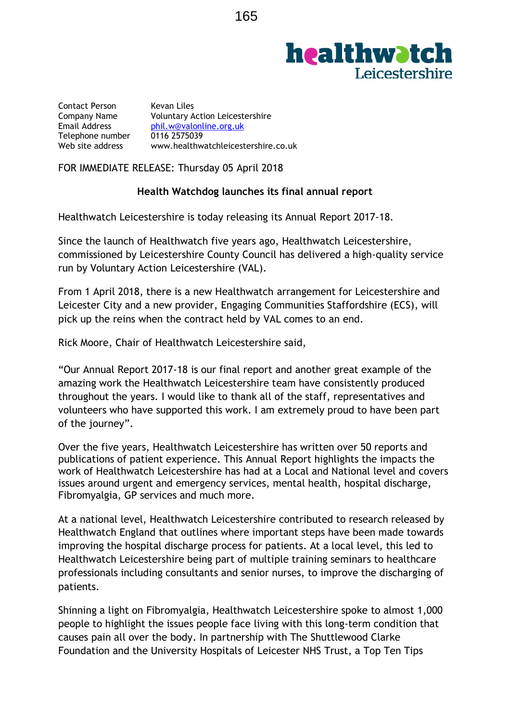# **healthwatch Leicestershire**

Contact Person Kevan Liles<br>Company Name Voluntary A Voluntary Action Leicestershire Email Address [phil.w@valonline.org.uk](mailto:phil.w@valonline.org.uk)<br>Telephone number 0116 2575039 Telephone number<br>Web site address [www.healthwatchleicestershire.co.uk](http://www.healthwatchleicestershire.co.uk/)

FOR IMMEDIATE RELEASE: Thursday 05 April 2018

## **Health Watchdog launches its final annual report**

Healthwatch Leicestershire is today releasing its Annual Report 2017-18.

Since the launch of Healthwatch five years ago, Healthwatch Leicestershire, commissioned by Leicestershire County Council has delivered a high-quality service run by Voluntary Action Leicestershire (VAL).

From 1 April 2018, there is a new Healthwatch arrangement for Leicestershire and Leicester City and a new provider, Engaging Communities Staffordshire (ECS), will pick up the reins when the contract held by VAL comes to an end.

Rick Moore, Chair of Healthwatch Leicestershire said,

"Our Annual Report 2017-18 is our final report and another great example of the amazing work the Healthwatch Leicestershire team have consistently produced throughout the years. I would like to thank all of the staff, representatives and volunteers who have supported this work. I am extremely proud to have been part of the journey".

Over the five years, Healthwatch Leicestershire has written over 50 reports and publications of patient experience. This Annual Report highlights the impacts the work of Healthwatch Leicestershire has had at a Local and National level and covers issues around urgent and emergency services, mental health, hospital discharge, Fibromyalgia, GP services and much more.

At a national level, Healthwatch Leicestershire contributed to research released by Healthwatch England that outlines where important steps have been made towards improving the hospital discharge process for patients. At a local level, this led to Healthwatch Leicestershire being part of multiple training seminars to healthcare professionals including consultants and senior nurses, to improve the discharging of patients.

Shinning a light on Fibromyalgia, Healthwatch Leicestershire spoke to almost 1,000 people to highlight the issues people face living with this long-term condition that causes pain all over the body. In partnership with The Shuttlewood Clarke Foundation and the University Hospitals of Leicester NHS Trust, a Top Ten Tips